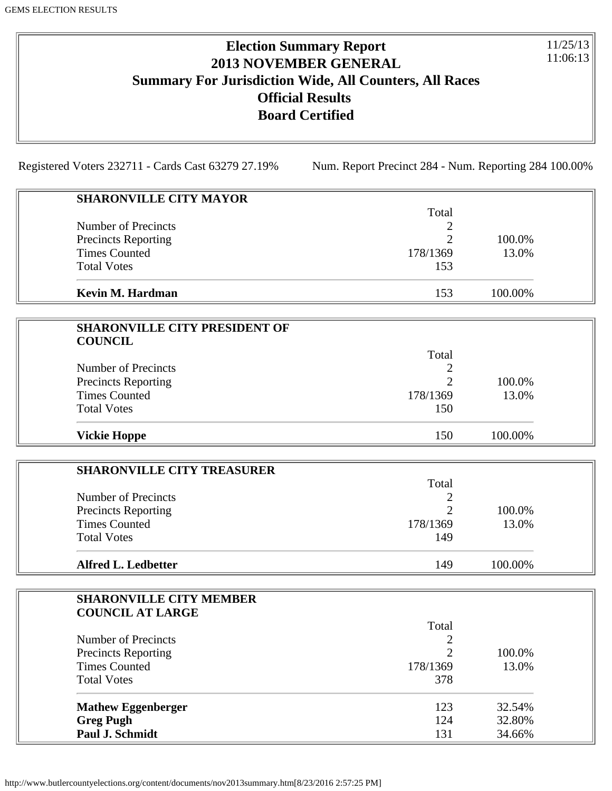# **Election Summary Report 2013 NOVEMBER GENERAL Summary For Jurisdiction Wide, All Counters, All Races Official Results Board Certified**

11/25/13 11:06:13

Registered Voters 232711 - Cards Cast 63279 27.19% Num. Report Precinct 284 - Num. Reporting 284 100.00%

| <b>SHARONVILLE CITY MAYOR</b>                             |                |         |  |
|-----------------------------------------------------------|----------------|---------|--|
|                                                           | Total          |         |  |
| Number of Precincts                                       | 2              |         |  |
| <b>Precincts Reporting</b>                                | 2              | 100.0%  |  |
| <b>Times Counted</b>                                      | 178/1369       | 13.0%   |  |
| <b>Total Votes</b>                                        | 153            |         |  |
| Kevin M. Hardman                                          | 153            | 100.00% |  |
|                                                           |                |         |  |
| <b>SHARONVILLE CITY PRESIDENT OF</b><br><b>COUNCIL</b>    |                |         |  |
|                                                           | Total          |         |  |
| <b>Number of Precincts</b>                                | 2              |         |  |
|                                                           | 2              | 100.0%  |  |
| <b>Precincts Reporting</b><br><b>Times Counted</b>        | 178/1369       | 13.0%   |  |
| <b>Total Votes</b>                                        | 150            |         |  |
|                                                           |                |         |  |
| <b>Vickie Hoppe</b>                                       | 150            | 100.00% |  |
|                                                           |                |         |  |
| <b>SHARONVILLE CITY TREASURER</b>                         |                |         |  |
|                                                           | Total          |         |  |
| <b>Number of Precincts</b>                                | 2              |         |  |
| <b>Precincts Reporting</b>                                | 2              | 100.0%  |  |
| <b>Times Counted</b>                                      | 178/1369       | 13.0%   |  |
| <b>Total Votes</b>                                        | 149            |         |  |
| <b>Alfred L. Ledbetter</b>                                | 149            | 100.00% |  |
|                                                           |                |         |  |
| <b>SHARONVILLE CITY MEMBER</b><br><b>COUNCIL AT LARGE</b> |                |         |  |
|                                                           | Total          |         |  |
| Number of Precincts                                       | $\overline{c}$ |         |  |
|                                                           | $\overline{2}$ | 100.0%  |  |
| <b>Precincts Reporting</b><br><b>Times Counted</b>        | 178/1369       | 13.0%   |  |
|                                                           |                |         |  |
| <b>Total Votes</b>                                        | 378            |         |  |
| <b>Mathew Eggenberger</b>                                 | 123            | 32.54%  |  |
| <b>Greg Pugh</b>                                          | 124            | 32.80%  |  |
| Paul J. Schmidt                                           | 131            | 34.66%  |  |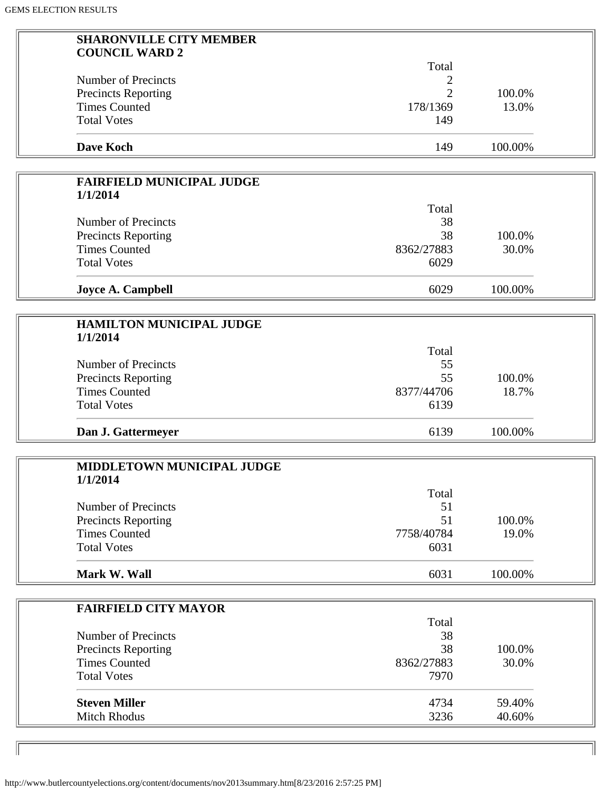| <b>SHARONVILLE CITY MEMBER</b>                     |                |         |  |
|----------------------------------------------------|----------------|---------|--|
| <b>COUNCIL WARD 2</b>                              |                |         |  |
|                                                    | Total          |         |  |
| <b>Number of Precincts</b>                         | 2              |         |  |
| <b>Precincts Reporting</b>                         | $\overline{2}$ | 100.0%  |  |
| <b>Times Counted</b>                               | 178/1369       | 13.0%   |  |
| <b>Total Votes</b>                                 | 149            |         |  |
|                                                    |                |         |  |
| <b>Dave Koch</b>                                   | 149            | 100.00% |  |
|                                                    |                |         |  |
| <b>FAIRFIELD MUNICIPAL JUDGE</b>                   |                |         |  |
| 1/1/2014                                           |                |         |  |
|                                                    | Total          |         |  |
| <b>Number of Precincts</b>                         | 38             |         |  |
| <b>Precincts Reporting</b>                         | 38             | 100.0%  |  |
| <b>Times Counted</b>                               | 8362/27883     | 30.0%   |  |
| <b>Total Votes</b>                                 | 6029           |         |  |
| <b>Joyce A. Campbell</b>                           | 6029           | 100.00% |  |
|                                                    |                |         |  |
| <b>HAMILTON MUNICIPAL JUDGE</b>                    |                |         |  |
| 1/1/2014                                           |                |         |  |
|                                                    | Total          |         |  |
| <b>Number of Precincts</b>                         | 55             |         |  |
|                                                    | 55             | 100.0%  |  |
| <b>Precincts Reporting</b><br><b>Times Counted</b> | 8377/44706     | 18.7%   |  |
|                                                    |                |         |  |
| <b>Total Votes</b>                                 | 6139           |         |  |
| Dan J. Gattermeyer                                 | 6139           | 100.00% |  |
|                                                    |                |         |  |
| <b>MIDDLETOWN MUNICIPAL JUDGE</b>                  |                |         |  |
| 1/1/2014                                           |                |         |  |
|                                                    | Total          |         |  |
| <b>Number of Precincts</b>                         | 51             |         |  |
| <b>Precincts Reporting</b>                         | 51             | 100.0%  |  |
| <b>Times Counted</b>                               | 7758/40784     | 19.0%   |  |
| <b>Total Votes</b>                                 | 6031           |         |  |
| Mark W. Wall                                       | 6031           | 100.00% |  |
|                                                    |                |         |  |
| <b>FAIRFIELD CITY MAYOR</b>                        |                |         |  |
|                                                    | Total          |         |  |
| <b>Number of Precincts</b>                         | 38             |         |  |
| <b>Precincts Reporting</b>                         | 38             | 100.0%  |  |
| <b>Times Counted</b>                               | 8362/27883     | 30.0%   |  |
| <b>Total Votes</b>                                 | 7970           |         |  |
|                                                    |                |         |  |
| <b>Steven Miller</b>                               | 4734           | 59.40%  |  |
| <b>Mitch Rhodus</b>                                | 3236           | 40.60%  |  |
|                                                    |                |         |  |

 $\mathbb{I}$ 

 $\sqrt{ }$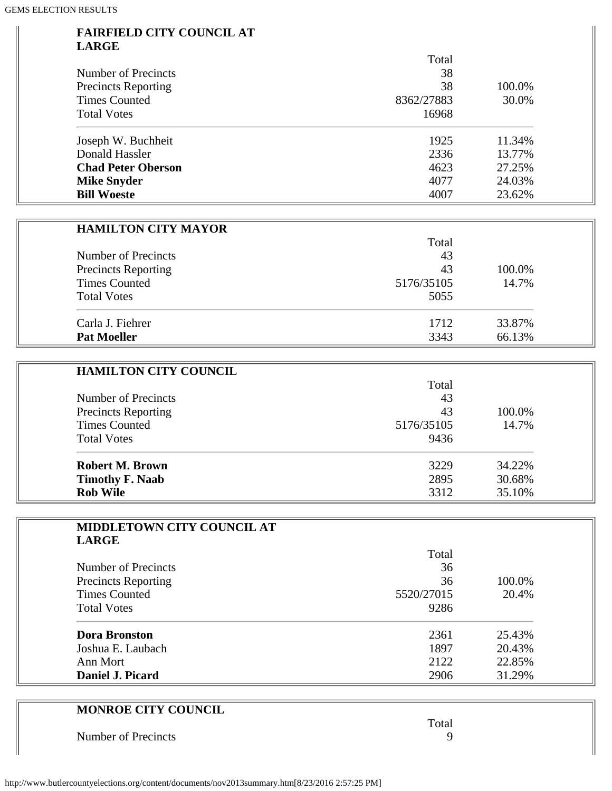#### **FAIRFIELD CITY COUNCIL AT LARGE**

|                            | Total      |        |
|----------------------------|------------|--------|
| Number of Precincts        | 38         |        |
| <b>Precincts Reporting</b> | 38         | 100.0% |
| <b>Times Counted</b>       | 8362/27883 | 30.0%  |
| <b>Total Votes</b>         | 16968      |        |
| Joseph W. Buchheit         | 1925       | 11.34% |
| Donald Hassler             | 2336       | 13.77% |
| <b>Chad Peter Oberson</b>  | 4623       | 27.25% |
| <b>Mike Snyder</b>         | 4077       | 24.03% |
| <b>Bill Woeste</b>         | 4007       | 23.62% |

| <b>HAMILTON CITY MAYOR</b> |            |        |  |
|----------------------------|------------|--------|--|
|                            | Total      |        |  |
| Number of Precincts        | 43         |        |  |
| <b>Precincts Reporting</b> | 43         | 100.0% |  |
| <b>Times Counted</b>       | 5176/35105 | 14.7%  |  |
| <b>Total Votes</b>         | 5055       |        |  |
| Carla J. Fiehrer           | 1712       | 33.87% |  |
| <b>Pat Moeller</b>         | 3343       | 66.13% |  |

| <b>HAMILTON CITY COUNCIL</b> |            |        |
|------------------------------|------------|--------|
|                              | Total      |        |
| Number of Precincts          | 43         |        |
| <b>Precincts Reporting</b>   | 43         | 100.0% |
| <b>Times Counted</b>         | 5176/35105 | 14.7%  |
| <b>Total Votes</b>           | 9436       |        |
| Robert M. Brown              | 3229       | 34.22% |
| <b>Timothy F. Naab</b>       | 2895       | 30.68% |
| <b>Rob Wile</b>              | 3312       | 35.10% |

| <b>MIDDLETOWN CITY COUNCIL AT</b> |            |        |
|-----------------------------------|------------|--------|
| <b>LARGE</b>                      |            |        |
|                                   | Total      |        |
| Number of Precincts               | 36         |        |
| <b>Precincts Reporting</b>        | 36         | 100.0% |
| <b>Times Counted</b>              | 5520/27015 | 20.4%  |
| <b>Total Votes</b>                | 9286       |        |
| <b>Dora Bronston</b>              | 2361       | 25.43% |
| Joshua E. Laubach                 | 1897       | 20.43% |
| Ann Mort                          | 2122       | 22.85% |
| Daniel J. Picard                  | 2906       | 31.29% |

| <b>MONROE CITY COUNCIL</b> |       |
|----------------------------|-------|
|                            | Total |
| Number of Precincts        |       |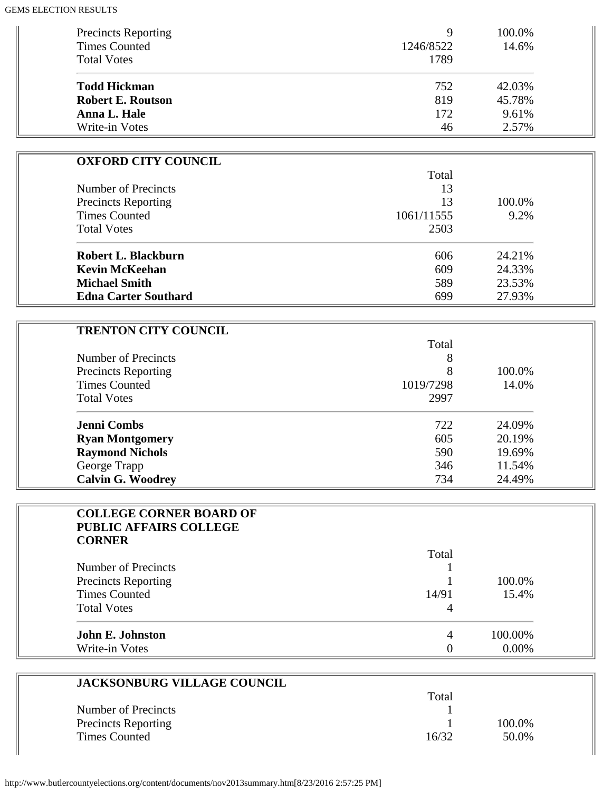| <b>Precincts Reporting</b><br><b>Times Counted</b> | Q<br>1246/8522 | 100.0%<br>14.6% |
|----------------------------------------------------|----------------|-----------------|
| <b>Total Votes</b>                                 | 1789           |                 |
| <b>Todd Hickman</b>                                | 752            | 42.03%          |
| <b>Robert E. Routson</b>                           | 819            | 45.78%          |
| Anna L. Hale                                       | 172            | 9.61%           |
| Write-in Votes                                     | 46             | 2.57%           |

| <b>OXFORD CITY COUNCIL</b>  |            |        |
|-----------------------------|------------|--------|
|                             | Total      |        |
| Number of Precincts         | 13         |        |
| <b>Precincts Reporting</b>  | 13         | 100.0% |
| <b>Times Counted</b>        | 1061/11555 | 9.2%   |
| <b>Total Votes</b>          | 2503       |        |
| Robert L. Blackburn         | 606        | 24.21% |
| <b>Kevin McKeehan</b>       | 609        | 24.33% |
| <b>Michael Smith</b>        | 589        | 23.53% |
| <b>Edna Carter Southard</b> | 699        | 27.93% |

 $\overline{1}$ 

| <b>TRENTON CITY COUNCIL</b> |           |        |
|-----------------------------|-----------|--------|
|                             | Total     |        |
| Number of Precincts         | 8         |        |
| <b>Precincts Reporting</b>  | 8         | 100.0% |
| <b>Times Counted</b>        | 1019/7298 | 14.0%  |
| <b>Total Votes</b>          | 2997      |        |
| <b>Jenni Combs</b>          | 722       | 24.09% |
| <b>Ryan Montgomery</b>      | 605       | 20.19% |
| <b>Raymond Nichols</b>      | 590       | 19.69% |
| George Trapp                | 346       | 11.54% |
| <b>Calvin G. Woodrey</b>    | 734       | 24.49% |

| <b>COLLEGE CORNER BOARD OF</b><br><b>PUBLIC AFFAIRS COLLEGE</b> |       |          |
|-----------------------------------------------------------------|-------|----------|
| <b>CORNER</b>                                                   |       |          |
|                                                                 | Total |          |
| Number of Precincts                                             |       |          |
| <b>Precincts Reporting</b>                                      |       | 100.0%   |
| <b>Times Counted</b>                                            | 14/91 | 15.4%    |
| <b>Total Votes</b>                                              | 4     |          |
| <b>John E. Johnston</b>                                         | 4     | 100.00%  |
| Write-in Votes                                                  |       | $0.00\%$ |

| <b>JACKSONBURG VILLAGE COUNCIL</b> |       |        |
|------------------------------------|-------|--------|
|                                    | Total |        |
| Number of Precincts                |       |        |
| Precincts Reporting                |       | 100.0% |
| <b>Times Counted</b>               | 16/32 | 50.0%  |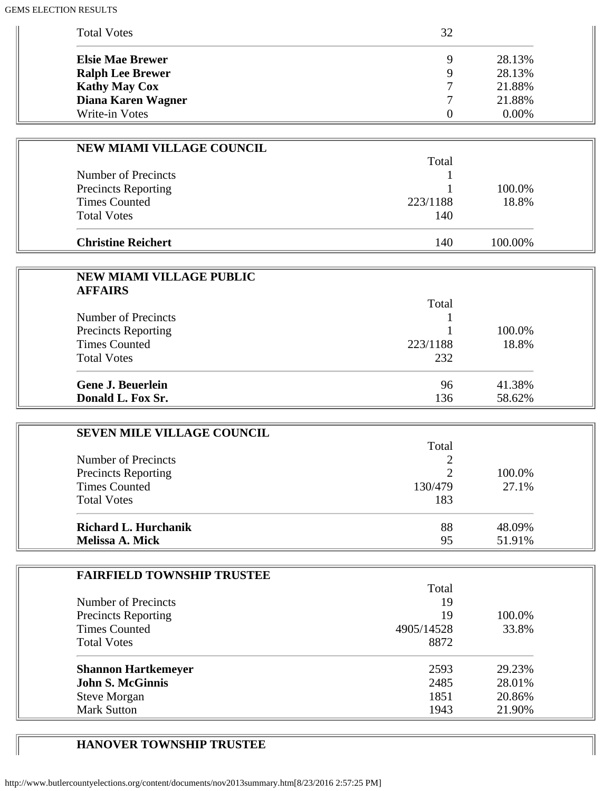| <b>Total Votes</b>      | 32          |          |
|-------------------------|-------------|----------|
| <b>Elsie Mae Brewer</b> | $\mathbf Q$ | 28.13%   |
| <b>Ralph Lee Brewer</b> | $\mathbf Q$ | 28.13%   |
| <b>Kathy May Cox</b>    |             | 21.88%   |
| Diana Karen Wagner      |             | 21.88%   |
| Write-in Votes          |             | $0.00\%$ |

| NEW MIAMI VILLAGE COUNCIL  |          |         |
|----------------------------|----------|---------|
|                            | Total    |         |
| Number of Precincts        |          |         |
| <b>Precincts Reporting</b> |          | 100.0%  |
| <b>Times Counted</b>       | 223/1188 | 18.8%   |
| <b>Total Votes</b>         | 140      |         |
|                            |          |         |
| <b>Christine Reichert</b>  | 140      | 100.00% |

| <b>NEW MIAMI VILLAGE PUBLIC</b> |          |        |
|---------------------------------|----------|--------|
| <b>AFFAIRS</b>                  |          |        |
|                                 | Total    |        |
| Number of Precincts             |          |        |
| <b>Precincts Reporting</b>      |          | 100.0% |
| <b>Times Counted</b>            | 223/1188 | 18.8%  |
| <b>Total Votes</b>              | 232      |        |
| <b>Gene J. Beuerlein</b>        | 96       | 41.38% |
| Donald L. Fox Sr.               | 136      | 58.62% |

| <b>SEVEN MILE VILLAGE COUNCIL</b> |               |        |
|-----------------------------------|---------------|--------|
|                                   | Total         |        |
| Number of Precincts               |               |        |
| <b>Precincts Reporting</b>        | $\mathcal{D}$ | 100.0% |
| <b>Times Counted</b>              | 130/479       | 27.1%  |
| <b>Total Votes</b>                | 183           |        |
| <b>Richard L. Hurchanik</b>       | 88            | 48.09% |
| <b>Melissa A. Mick</b>            | 95            | 51.91% |

| <b>FAIRFIELD TOWNSHIP TRUSTEE</b> |            |        |
|-----------------------------------|------------|--------|
|                                   | Total      |        |
| Number of Precincts               | 19         |        |
| <b>Precincts Reporting</b>        | 19         | 100.0% |
| <b>Times Counted</b>              | 4905/14528 | 33.8%  |
| <b>Total Votes</b>                | 8872       |        |
| <b>Shannon Hartkemeyer</b>        | 2593       | 29.23% |
| <b>John S. McGinnis</b>           | 2485       | 28.01% |
| <b>Steve Morgan</b>               | 1851       | 20.86% |
| <b>Mark Sutton</b>                | 1943       | 21.90% |

## **HANOVER TOWNSHIP TRUSTEE**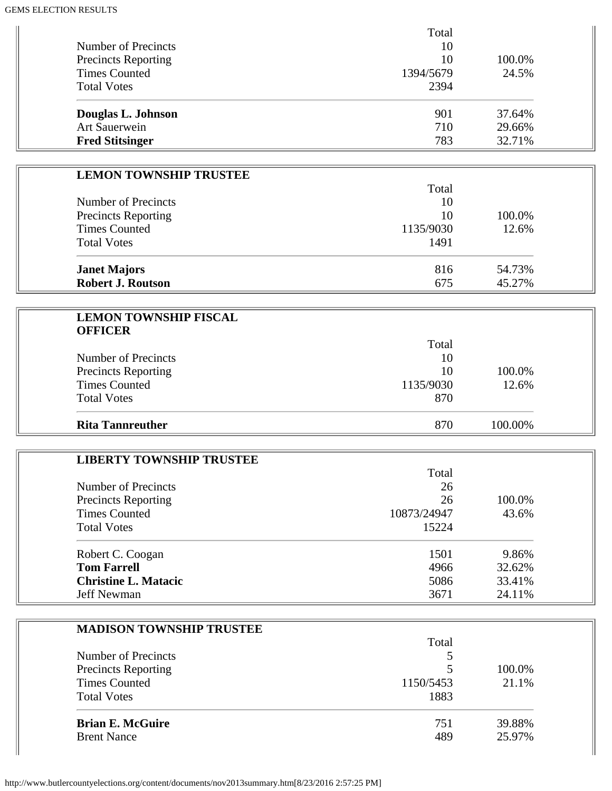| Total     |        |
|-----------|--------|
| 10        |        |
| 10        | 100.0% |
| 1394/5679 | 24.5%  |
| 2394      |        |
| 901       | 37.64% |
| 710       | 29.66% |
| 783       | 32.71% |
|           |        |

| <b>LEMON TOWNSHIP TRUSTEE</b> |           |        |
|-------------------------------|-----------|--------|
|                               | Total     |        |
| Number of Precincts           | 10        |        |
| <b>Precincts Reporting</b>    | 10        | 100.0% |
| <b>Times Counted</b>          | 1135/9030 | 12.6%  |
| <b>Total Votes</b>            | 1491      |        |
| <b>Janet Majors</b>           | 816       | 54.73% |
| <b>Robert J. Routson</b>      | 675       | 45.27% |

| <b>LEMON TOWNSHIP FISCAL</b><br><b>OFFICER</b> |           |         |  |
|------------------------------------------------|-----------|---------|--|
|                                                | Total     |         |  |
| Number of Precincts                            | 10        |         |  |
| <b>Precincts Reporting</b>                     | 10        | 100.0%  |  |
| <b>Times Counted</b>                           | 1135/9030 | 12.6%   |  |
| <b>Total Votes</b>                             | 870       |         |  |
| <b>Rita Tannreuther</b>                        | 870       | 100.00% |  |

| <b>LIBERTY TOWNSHIP TRUSTEE</b> |             |        |
|---------------------------------|-------------|--------|
|                                 | Total       |        |
| Number of Precincts             | 26          |        |
| <b>Precincts Reporting</b>      | 26          | 100.0% |
| <b>Times Counted</b>            | 10873/24947 | 43.6%  |
| <b>Total Votes</b>              | 15224       |        |
| Robert C. Coogan                | 1501        | 9.86%  |
| <b>Tom Farrell</b>              | 4966        | 32.62% |
| <b>Christine L. Matacic</b>     | 5086        | 33.41% |
| Jeff Newman                     | 3671        | 24.11% |

| <b>MADISON TOWNSHIP TRUSTEE</b> |           |        |
|---------------------------------|-----------|--------|
|                                 | Total     |        |
| Number of Precincts             | 5         |        |
| <b>Precincts Reporting</b>      | 5         | 100.0% |
| <b>Times Counted</b>            | 1150/5453 | 21.1%  |
| <b>Total Votes</b>              | 1883      |        |
| <b>Brian E. McGuire</b>         | 751       | 39.88% |
| <b>Brent Nance</b>              | 489       | 25.97% |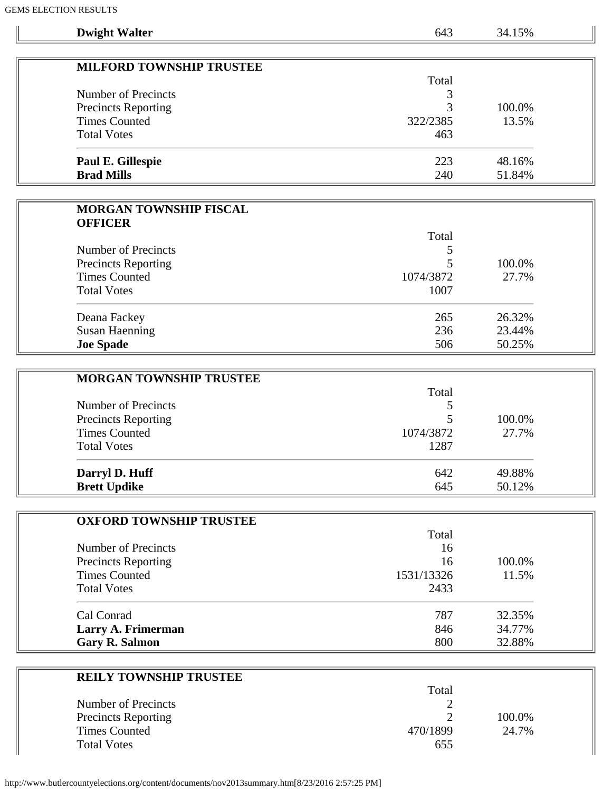$\parallel$ 

| <b>ELLUIT NEDUL ID</b>          |           |        |
|---------------------------------|-----------|--------|
| <b>Dwight Walter</b>            | 643       | 34.15% |
|                                 |           |        |
| <b>MILFORD TOWNSHIP TRUSTEE</b> |           |        |
|                                 | Total     |        |
| <b>Number of Precincts</b>      | 3         |        |
| Precincts Reporting             | 3         | 100.0% |
| <b>Times Counted</b>            | 322/2385  | 13.5%  |
| <b>Total Votes</b>              | 463       |        |
| <b>Paul E. Gillespie</b>        | 223       | 48.16% |
| <b>Brad Mills</b>               | 240       | 51.84% |
|                                 |           |        |
| <b>MORGAN TOWNSHIP FISCAL</b>   |           |        |
| <b>OFFICER</b>                  |           |        |
|                                 | Total     |        |
| <b>Number of Precincts</b>      | 5         |        |
| <b>Precincts Reporting</b>      | 5         | 100.0% |
| <b>Times Counted</b>            | 1074/3872 | 27.7%  |
| <b>Total Votes</b>              | 1007      |        |
| Deana Fackey                    | 265       | 26.32% |
| <b>Susan Haenning</b>           | 236       | 23.44% |
| <b>Joe Spade</b>                | 506       | 50.25% |
|                                 |           |        |
| <b>MORGAN TOWNSHIP TRUSTEE</b>  |           |        |
|                                 | Total     |        |
| <b>Number of Precincts</b>      | 5         |        |
| Precincts Reporting             |           | 100.0% |

| <b>Precincts Reporting</b><br><b>Times Counted</b> | 1074/3872 | 100.0%<br>27.7% |
|----------------------------------------------------|-----------|-----------------|
| <b>Total Votes</b>                                 | 1287      |                 |
| Darryl D. Huff                                     | 642       | 49.88%          |
| <b>Brett Updike</b>                                | 645       | 50.12%          |

| <b>OXFORD TOWNSHIP TRUSTEE</b>                    |            |        |  |
|---------------------------------------------------|------------|--------|--|
|                                                   | Total      |        |  |
| Number of Precincts<br><b>Precincts Reporting</b> | 16<br>16   |        |  |
|                                                   |            | 100.0% |  |
| <b>Times Counted</b>                              | 1531/13326 | 11.5%  |  |
| <b>Total Votes</b>                                | 2433       |        |  |
| Cal Conrad                                        | 787        | 32.35% |  |
| Larry A. Frimerman                                | 846        | 34.77% |  |
| <b>Gary R. Salmon</b>                             | 800        | 32.88% |  |

| <b>REILY TOWNSHIP TRUSTEE</b> |          |        |
|-------------------------------|----------|--------|
|                               | Total    |        |
| Number of Precincts           |          |        |
| <b>Precincts Reporting</b>    |          | 100.0% |
| <b>Times Counted</b>          | 470/1899 | 24.7%  |
| <b>Total Votes</b>            | 655      |        |

 $\overline{1}$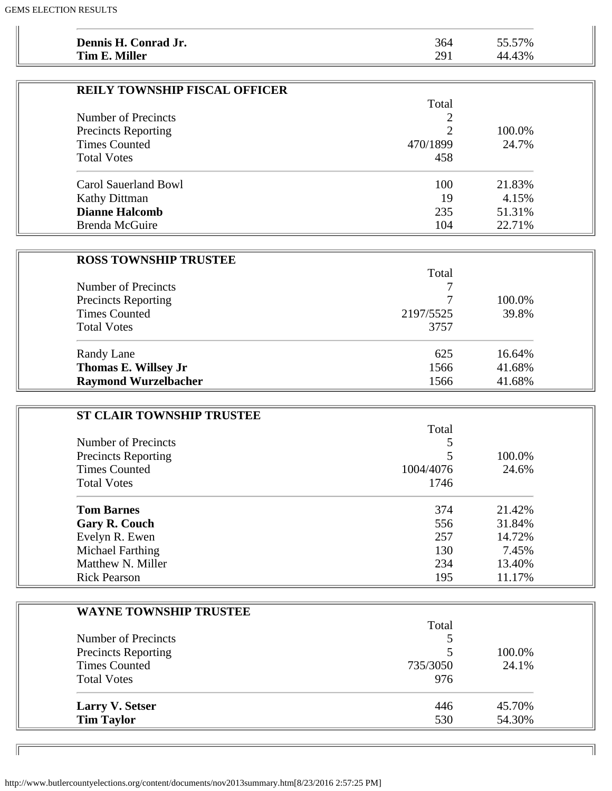| Dennis H. Conrad Jr.                 | 364      | 55.57% |
|--------------------------------------|----------|--------|
| Tim E. Miller                        | 291      | 44.43% |
|                                      |          |        |
| <b>REILY TOWNSHIP FISCAL OFFICER</b> |          |        |
|                                      | Total    |        |
| Number of Precincts                  |          |        |
| <b>Precincts Reporting</b>           | ◠        | 100.0% |
| <b>Times Counted</b>                 | 470/1899 | 24.7%  |
| <b>Total Votes</b>                   | 458      |        |
|                                      |          |        |
| Carol Sauerland Bowl                 | 100      | 21.83% |

Kathy Dittman 19 4.15% **Dianne Halcomb** 235 51.31% Brenda McGuire 104 22.71%

| <b>ROSS TOWNSHIP TRUSTEE</b> |           |        |
|------------------------------|-----------|--------|
|                              | Total     |        |
| Number of Precincts          |           |        |
| <b>Precincts Reporting</b>   | 7         | 100.0% |
| <b>Times Counted</b>         | 2197/5525 | 39.8%  |
| <b>Total Votes</b>           | 3757      |        |
| Randy Lane                   | 625       | 16.64% |
| Thomas E. Willsey Jr         | 1566      | 41.68% |
| <b>Raymond Wurzelbacher</b>  | 1566      | 41.68% |

| <b>ST CLAIR TOWNSHIP TRUSTEE</b> |           |        |
|----------------------------------|-----------|--------|
|                                  | Total     |        |
| Number of Precincts              |           |        |
| <b>Precincts Reporting</b>       |           | 100.0% |
| <b>Times Counted</b>             | 1004/4076 | 24.6%  |
| <b>Total Votes</b>               | 1746      |        |
| <b>Tom Barnes</b>                | 374       | 21.42% |
| <b>Gary R. Couch</b>             | 556       | 31.84% |
| Evelyn R. Ewen                   | 257       | 14.72% |
| Michael Farthing                 | 130       | 7.45%  |
| Matthew N. Miller                | 234       | 13.40% |
| <b>Rick Pearson</b>              | 195       | 11.17% |

| <b>WAYNE TOWNSHIP TRUSTEE</b> |          |        |
|-------------------------------|----------|--------|
|                               | Total    |        |
| Number of Precincts           |          |        |
| <b>Precincts Reporting</b>    |          | 100.0% |
| <b>Times Counted</b>          | 735/3050 | 24.1%  |
| <b>Total Votes</b>            | 976      |        |
| <b>Larry V. Setser</b>        | 446      | 45.70% |
| <b>Tim Taylor</b>             | 530      | 54.30% |

11

http://www.butlercountyelections.org/content/documents/nov2013summary.htm[8/23/2016 2:57:25 PM]

 $\mathbb{F}$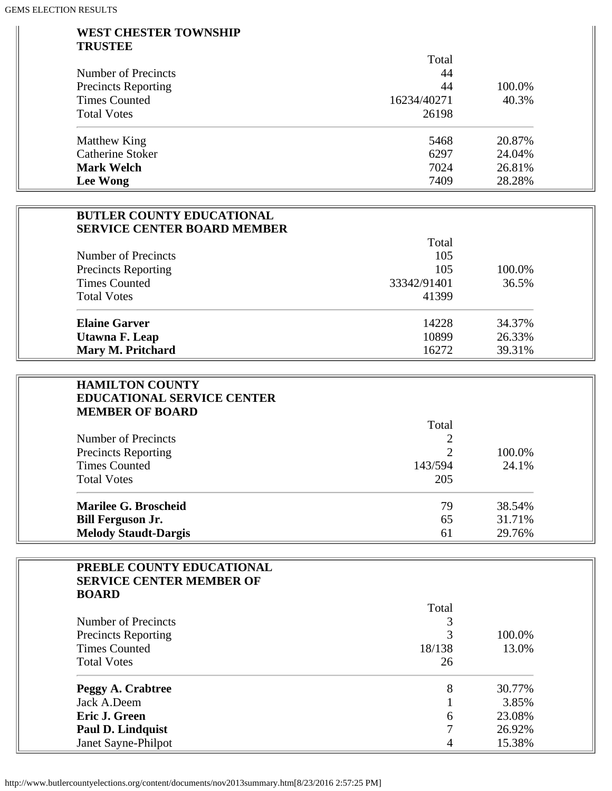#### **WEST CHESTER TOWNSHIP TRUSTEE**

|                            | Total       |        |  |
|----------------------------|-------------|--------|--|
| Number of Precincts        | 44          |        |  |
| <b>Precincts Reporting</b> | 44          | 100.0% |  |
| <b>Times Counted</b>       | 16234/40271 | 40.3%  |  |
| <b>Total Votes</b>         | 26198       |        |  |
| Matthew King               | 5468        | 20.87% |  |
| <b>Catherine Stoker</b>    | 6297        | 24.04% |  |
| <b>Mark Welch</b>          | 7024        | 26.81% |  |
| Lee Wong                   | 7409        | 28.28% |  |

### **BUTLER COUNTY EDUCATIONAL SERVICE CENTER BOARD MEMBER**

|                            | Total       |        |
|----------------------------|-------------|--------|
| Number of Precincts        | 105         |        |
| <b>Precincts Reporting</b> | 105         | 100.0% |
| <b>Times Counted</b>       | 33342/91401 | 36.5%  |
| <b>Total Votes</b>         | 41399       |        |
| <b>Elaine Garver</b>       | 14228       | 34.37% |
| Utawna F. Leap             | 10899       | 26.33% |
| Mary M. Pritchard          | 16272       | 39.31% |

| <b>HAMILTON COUNTY</b><br><b>EDUCATIONAL SERVICE CENTER</b> |         |        |
|-------------------------------------------------------------|---------|--------|
| <b>MEMBER OF BOARD</b>                                      |         |        |
|                                                             | Total   |        |
| Number of Precincts                                         |         |        |
| <b>Precincts Reporting</b>                                  |         | 100.0% |
| <b>Times Counted</b>                                        | 143/594 | 24.1%  |
| <b>Total Votes</b>                                          | 205     |        |
| <b>Marilee G. Broscheid</b>                                 | 79      | 38.54% |
| <b>Bill Ferguson Jr.</b>                                    | 65      | 31.71% |
| <b>Melody Staudt-Dargis</b>                                 | 61      | 29.76% |

| PREBLE COUNTY EDUCATIONAL       |        |        |
|---------------------------------|--------|--------|
| <b>SERVICE CENTER MEMBER OF</b> |        |        |
| <b>BOARD</b>                    |        |        |
|                                 | Total  |        |
| Number of Precincts             |        |        |
| <b>Precincts Reporting</b>      | 3      | 100.0% |
| <b>Times Counted</b>            | 18/138 | 13.0%  |
| <b>Total Votes</b>              | 26     |        |
| Peggy A. Crabtree               | 8      | 30.77% |
| Jack A.Deem                     |        | 3.85%  |
| Eric J. Green                   | 6      | 23.08% |
| <b>Paul D. Lindquist</b>        |        | 26.92% |
| Janet Sayne-Philpot             |        | 15.38% |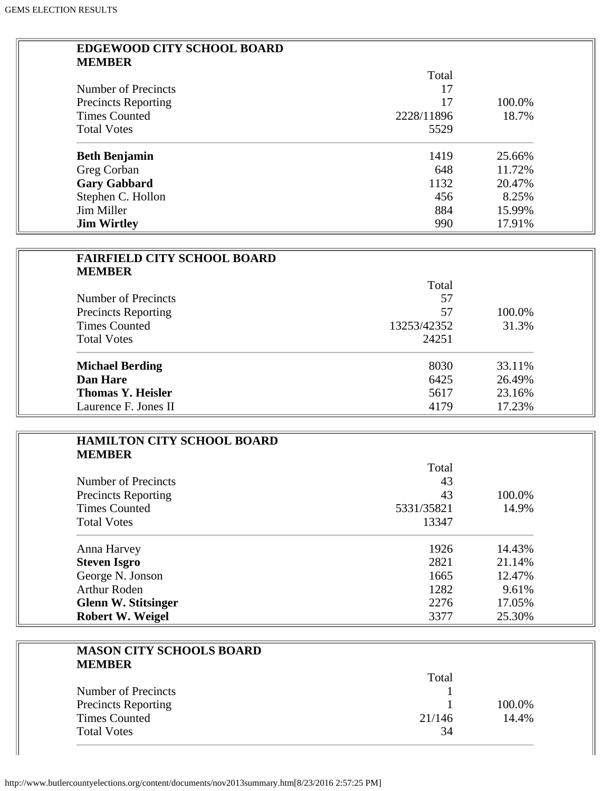÷,

| <b>EDGEWOOD CITY SCHOOL BOARD</b> |            |        |
|-----------------------------------|------------|--------|
| <b>MEMBER</b>                     |            |        |
|                                   | Total      |        |
| Number of Precincts               | 17         |        |
| <b>Precincts Reporting</b>        | 17         | 100.0% |
| <b>Times Counted</b>              | 2228/11896 | 18.7%  |
| <b>Total Votes</b>                | 5529       |        |
| <b>Beth Benjamin</b>              | 1419       | 25.66% |
| Greg Corban                       | 648        | 11.72% |
| <b>Gary Gabbard</b>               | 1132       | 20.47% |
| Stephen C. Hollon                 | 456        | 8.25%  |
| Jim Miller                        | 884        | 15.99% |
| <b>Jim Wirtley</b>                | 990        | 17.91% |

| <b>FAIRFIELD CITY SCHOOL BOARD</b> |             |        |
|------------------------------------|-------------|--------|
| <b>MEMBER</b>                      |             |        |
|                                    | Total       |        |
| Number of Precincts                | 57          |        |
| <b>Precincts Reporting</b>         | 57          | 100.0% |
| <b>Times Counted</b>               | 13253/42352 | 31.3%  |
| <b>Total Votes</b>                 | 24251       |        |
| <b>Michael Berding</b>             | 8030        | 33.11% |
| Dan Hare                           | 6425        | 26.49% |
| <b>Thomas Y. Heisler</b>           | 5617        | 23.16% |
| Laurence F. Jones II               | 4179        | 17.23% |

| <b>HAMILTON CITY SCHOOL BOARD</b> |            |        |
|-----------------------------------|------------|--------|
| <b>MEMBER</b>                     |            |        |
|                                   | Total      |        |
| Number of Precincts               | 43         |        |
| <b>Precincts Reporting</b>        | 43         | 100.0% |
| <b>Times Counted</b>              | 5331/35821 | 14.9%  |
| <b>Total Votes</b>                | 13347      |        |
| Anna Harvey                       | 1926       | 14.43% |
| <b>Steven Isgro</b>               | 2821       | 21.14% |
| George N. Jonson                  | 1665       | 12.47% |
| <b>Arthur Roden</b>               | 1282       | 9.61%  |
| <b>Glenn W. Stitsinger</b>        | 2276       | 17.05% |
| Robert W. Weigel                  | 3377       | 25.30% |

| <b>MASON CITY SCHOOLS BOARD</b><br><b>MEMBER</b> |        |        |
|--------------------------------------------------|--------|--------|
|                                                  | Total  |        |
| Number of Precincts                              |        |        |
| <b>Precincts Reporting</b>                       |        | 100.0% |
| <b>Times Counted</b>                             | 21/146 | 14.4%  |
| <b>Total Votes</b>                               | 34     |        |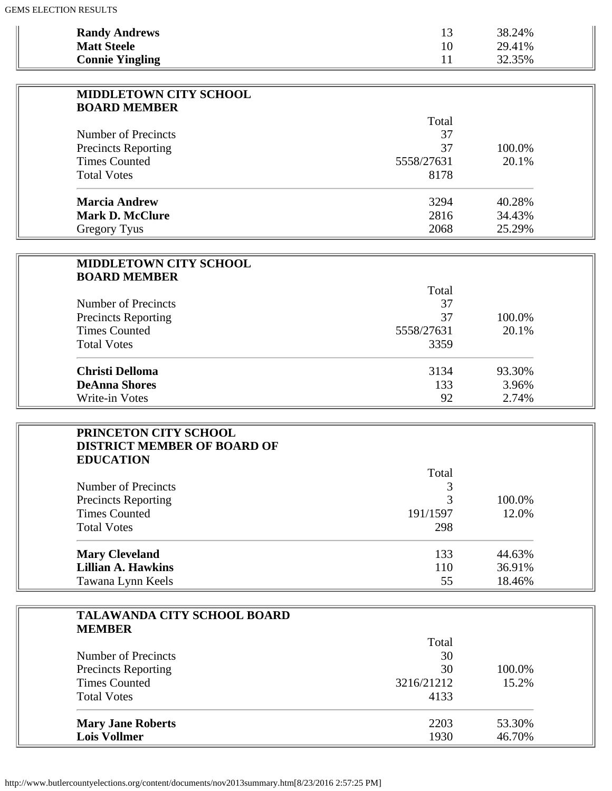| <b>Randy Andrews</b>                               | 13          | 38.24% |
|----------------------------------------------------|-------------|--------|
| <b>Matt Steele</b>                                 | 10          | 29.41% |
| <b>Connie Yingling</b>                             | 11          | 32.35% |
| <b>MIDDLETOWN CITY SCHOOL</b>                      |             |        |
| <b>BOARD MEMBER</b>                                |             |        |
| Number of Precincts                                | Total<br>37 |        |
|                                                    | 37          | 100.0% |
| <b>Precincts Reporting</b><br><b>Times Counted</b> | 5558/27631  | 20.1%  |
|                                                    |             |        |
| <b>Total Votes</b>                                 | 8178        |        |
| <b>Marcia Andrew</b>                               | 3294        | 40.28% |
| <b>Mark D. McClure</b>                             | 2816        | 34.43% |
| <b>Gregory Tyus</b>                                | 2068        | 25.29% |
|                                                    |             |        |
| <b>MIDDLETOWN CITY SCHOOL</b>                      |             |        |
| <b>BOARD MEMBER</b>                                | Total       |        |
| Number of Precincts                                | 37          |        |
| <b>Precincts Reporting</b>                         | 37          | 100.0% |
| <b>Times Counted</b>                               | 5558/27631  | 20.1%  |
| <b>Total Votes</b>                                 | 3359        |        |
|                                                    |             |        |
| <b>Christi Delloma</b>                             | 3134        | 93.30% |
| <b>DeAnna Shores</b>                               | 133         | 3.96%  |
| Write-in Votes                                     | 92          | 2.74%  |
| PRINCETON CITY SCHOOL                              |             |        |
| <b>DISTRICT MEMBER OF BOARD OF</b>                 |             |        |
| <b>EDUCATION</b>                                   |             |        |
|                                                    | Total       |        |
| Number of Precincts                                | 3           |        |
| <b>Precincts Reporting</b>                         | 3           | 100.0% |
| <b>Times Counted</b>                               | 191/1597    | 12.0%  |
| <b>Total Votes</b>                                 | 298         |        |
| <b>Mary Cleveland</b>                              | 133         | 44.63% |
| <b>Lillian A. Hawkins</b>                          | 110         | 36.91% |
| Tawana Lynn Keels                                  | 55          | 18.46% |
|                                                    |             |        |
| TALAWANDA CITY SCHOOL BOARD                        |             |        |
| <b>MEMBER</b>                                      | Total       |        |
| Number of Precincts                                | 30          |        |
| <b>Precincts Reporting</b>                         | 30          | 100.0% |
| <b>Times Counted</b>                               | 3216/21212  | 15.2%  |
| <b>Total Votes</b>                                 | 4133        |        |
|                                                    |             |        |
| <b>Mary Jane Roberts</b>                           | 2203        | 53.30% |
| <b>Lois Vollmer</b>                                | 1930        | 46.70% |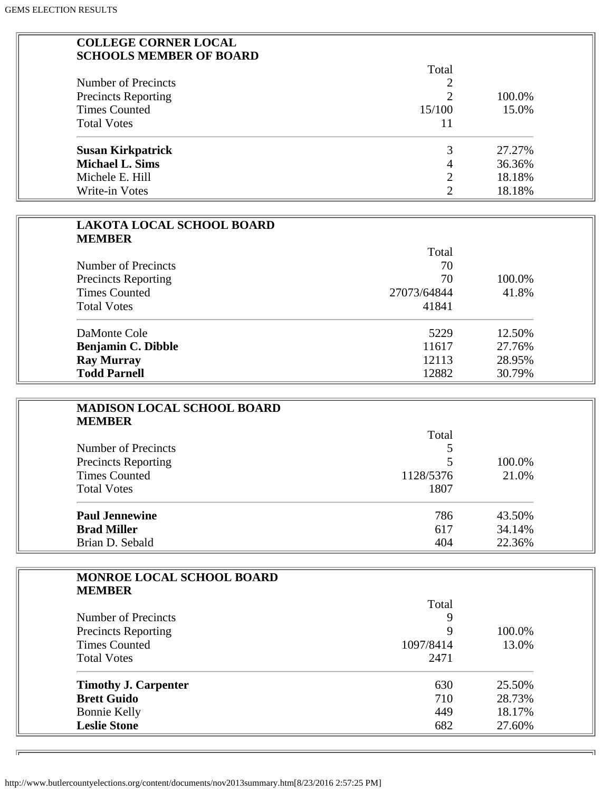| <b>COLLEGE CORNER LOCAL</b><br><b>SCHOOLS MEMBER OF BOARD</b> |                |        |
|---------------------------------------------------------------|----------------|--------|
|                                                               | Total          |        |
| Number of Precincts                                           |                |        |
| <b>Precincts Reporting</b>                                    | 2              | 100.0% |
| <b>Times Counted</b>                                          | 15/100         | 15.0%  |
| <b>Total Votes</b>                                            | 11             |        |
| <b>Susan Kirkpatrick</b>                                      | 3              | 27.27% |
| <b>Michael L. Sims</b>                                        | 4              | 36.36% |
| Michele E. Hill                                               | $\overline{2}$ | 18.18% |
| Write-in Votes                                                | 2              | 18.18% |

| <b>LAKOTA LOCAL SCHOOL BOARD</b><br><b>MEMBER</b> |             |        |
|---------------------------------------------------|-------------|--------|
|                                                   | Total       |        |
| Number of Precincts<br><b>Precincts Reporting</b> | 70          |        |
|                                                   | 70          | 100.0% |
| <b>Times Counted</b>                              | 27073/64844 | 41.8%  |
| <b>Total Votes</b>                                | 41841       |        |
| DaMonte Cole                                      | 5229        | 12.50% |
| <b>Benjamin C. Dibble</b>                         | 11617       | 27.76% |
| <b>Ray Murray</b>                                 | 12113       | 28.95% |
| <b>Todd Parnell</b>                               | 12882       | 30.79% |

| <b>MADISON LOCAL SCHOOL BOARD</b> |           |        |
|-----------------------------------|-----------|--------|
| <b>MEMBER</b>                     |           |        |
|                                   | Total     |        |
| Number of Precincts               |           |        |
| <b>Precincts Reporting</b>        |           | 100.0% |
| <b>Times Counted</b>              | 1128/5376 | 21.0%  |
| <b>Total Votes</b>                | 1807      |        |
| <b>Paul Jennewine</b>             | 786       | 43.50% |
| <b>Brad Miller</b>                | 617       | 34.14% |
| Brian D. Sebald                   | 404       | 22.36% |

| <b>MONROE LOCAL SCHOOL BOARD</b><br><b>MEMBER</b> |             |        |
|---------------------------------------------------|-------------|--------|
|                                                   | Total       |        |
| Number of Precincts                               | 9           |        |
| <b>Precincts Reporting</b>                        | $\mathbf Q$ | 100.0% |
| <b>Times Counted</b>                              | 1097/8414   | 13.0%  |
| <b>Total Votes</b>                                | 2471        |        |
| <b>Timothy J. Carpenter</b>                       | 630         | 25.50% |
| <b>Brett Guido</b>                                | 710         | 28.73% |
| <b>Bonnie Kelly</b>                               | 449         | 18.17% |
| <b>Leslie Stone</b>                               | 682         | 27.60% |

F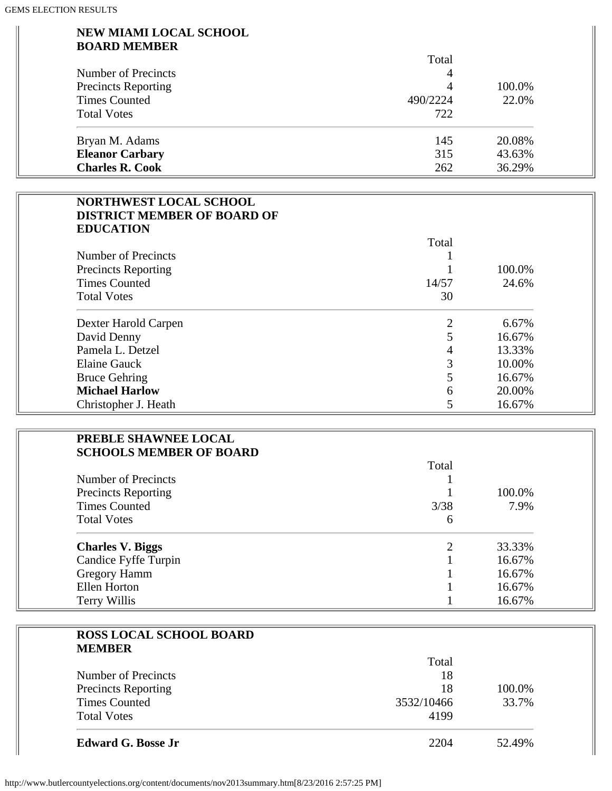#### **NEW MIAMI LOCAL SCHOOL BOARD MEMBER**

|                            | Total    |        |
|----------------------------|----------|--------|
| Number of Precincts        | 4        |        |
| <b>Precincts Reporting</b> | 4        | 100.0% |
| <b>Times Counted</b>       | 490/2224 | 22.0%  |
| <b>Total Votes</b>         | 722      |        |
| Bryan M. Adams             | 145      | 20.08% |
| <b>Eleanor Carbary</b>     | 315      | 43.63% |
| <b>Charles R. Cook</b>     | 262      | 36.29% |

| <b>NORTHWEST LOCAL SCHOOL</b><br><b>DISTRICT MEMBER OF BOARD OF</b> |       |        |
|---------------------------------------------------------------------|-------|--------|
| <b>EDUCATION</b>                                                    |       |        |
|                                                                     | Total |        |
| Number of Precincts                                                 |       |        |
| <b>Precincts Reporting</b>                                          |       | 100.0% |
| <b>Times Counted</b>                                                | 14/57 | 24.6%  |
| <b>Total Votes</b>                                                  | 30    |        |
| Dexter Harold Carpen                                                |       | 6.67%  |
| David Denny                                                         |       | 16.67% |
| Pamela L. Detzel                                                    | 4     | 13.33% |
| Elaine Gauck                                                        | 3     | 10.00% |
| <b>Bruce Gehring</b>                                                |       | 16.67% |
| <b>Michael Harlow</b>                                               | 6     | 20.00% |
| Christopher J. Heath                                                |       | 16.67% |

| PREBLE SHAWNEE LOCAL<br><b>SCHOOLS MEMBER OF BOARD</b> |       |        |
|--------------------------------------------------------|-------|--------|
|                                                        | Total |        |
| Number of Precincts                                    |       |        |
| <b>Precincts Reporting</b>                             |       | 100.0% |
| <b>Times Counted</b>                                   | 3/38  | 7.9%   |
| <b>Total Votes</b>                                     | 6     |        |
| <b>Charles V. Biggs</b>                                |       | 33.33% |
|                                                        |       |        |

| $\overline{\phantom{a}}$<br>Candice Fyffe Turpin | 16.67% |
|--------------------------------------------------|--------|
| <b>Gregory Hamm</b>                              | 16.67% |
| Ellen Horton                                     | 16.67% |
| Terry Willis                                     | 16.67% |

| <b>ROSS LOCAL SCHOOL BOARD</b> |            |        |
|--------------------------------|------------|--------|
| <b>MEMBER</b>                  |            |        |
|                                | Total      |        |
| Number of Precincts            | 18         |        |
| <b>Precincts Reporting</b>     | 18         | 100.0% |
| <b>Times Counted</b>           | 3532/10466 | 33.7%  |
| <b>Total Votes</b>             | 4199       |        |
| <b>Edward G. Bosse Jr</b>      | 2204       | 52.49% |
|                                |            |        |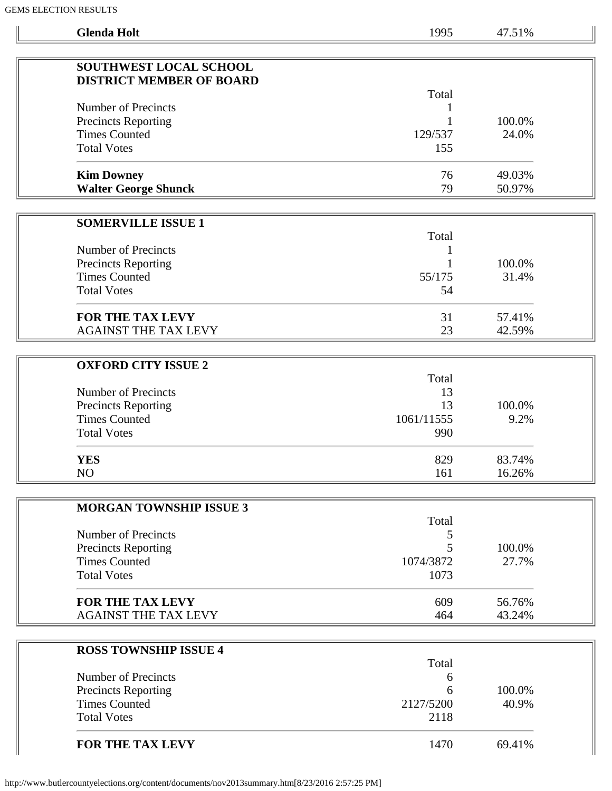| <b>Glenda Holt</b>                                 | 1995       | 47.51% |
|----------------------------------------------------|------------|--------|
|                                                    |            |        |
| SOUTHWEST LOCAL SCHOOL                             |            |        |
| <b>DISTRICT MEMBER OF BOARD</b>                    |            |        |
|                                                    | Total      |        |
| Number of Precincts                                |            | 100.0% |
| <b>Precincts Reporting</b><br><b>Times Counted</b> | 129/537    | 24.0%  |
| <b>Total Votes</b>                                 | 155        |        |
|                                                    |            |        |
| <b>Kim Downey</b>                                  | 76         | 49.03% |
| <b>Walter George Shunck</b>                        | 79         | 50.97% |
|                                                    |            |        |
| <b>SOMERVILLE ISSUE 1</b>                          |            |        |
|                                                    | Total      |        |
| Number of Precincts                                |            |        |
| <b>Precincts Reporting</b>                         |            | 100.0% |
| <b>Times Counted</b>                               | 55/175     | 31.4%  |
| <b>Total Votes</b>                                 | 54         |        |
|                                                    |            |        |
| FOR THE TAX LEVY                                   | 31         | 57.41% |
| <b>AGAINST THE TAX LEVY</b>                        | 23         | 42.59% |
|                                                    |            |        |
| <b>OXFORD CITY ISSUE 2</b>                         |            |        |
|                                                    | Total      |        |
| Number of Precincts                                | 13         |        |
| <b>Precincts Reporting</b>                         | 13         | 100.0% |
| <b>Times Counted</b>                               | 1061/11555 | 9.2%   |
| <b>Total Votes</b>                                 | 990        |        |
|                                                    |            |        |
| <b>YES</b>                                         | 829        | 83.74% |
| NO                                                 | 161        | 16.26% |
|                                                    |            |        |
| <b>MORGAN TOWNSHIP ISSUE 3</b>                     | Total      |        |
| <b>Number of Precincts</b>                         | 5          |        |
| Precincts Reporting                                | 5          | 100.0% |
| <b>Times Counted</b>                               | 1074/3872  | 27.7%  |
| <b>Total Votes</b>                                 | 1073       |        |
|                                                    |            |        |
| FOR THE TAX LEVY                                   | 609        | 56.76% |
| <b>AGAINST THE TAX LEVY</b>                        | 464        | 43.24% |
|                                                    |            |        |
| <b>ROSS TOWNSHIP ISSUE 4</b>                       |            |        |
|                                                    | Total      |        |
| Number of Precincts                                | 6          |        |
| <b>Precincts Reporting</b>                         | 6          | 100.0% |
| <b>Times Counted</b>                               | 2127/5200  | 40.9%  |
| <b>Total Votes</b>                                 | 2118       |        |
| FOR THE TAX LEVY                                   | 1470       | 69.41% |
|                                                    |            |        |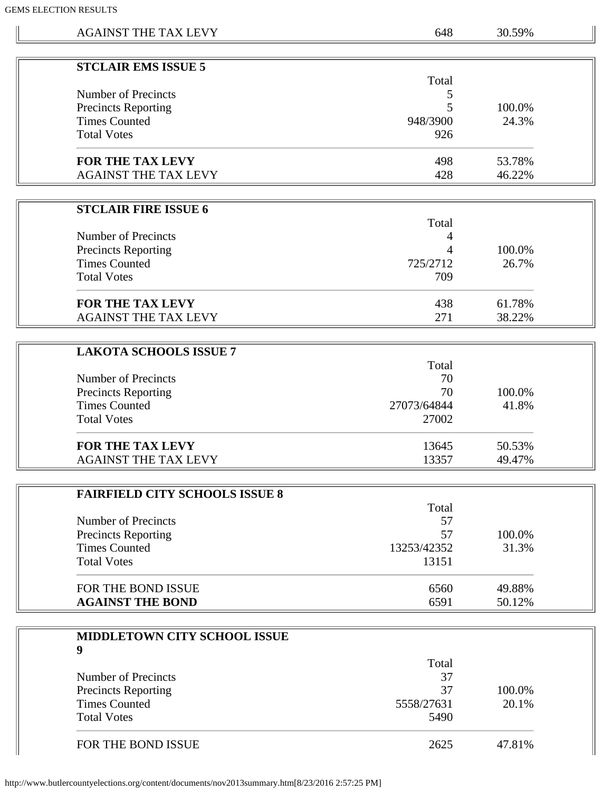$\mathbb{L}$ 

| S ELECTION RESULTS                    |             |        |  |
|---------------------------------------|-------------|--------|--|
| <b>AGAINST THE TAX LEVY</b>           | 648         | 30.59% |  |
|                                       |             |        |  |
| <b>STCLAIR EMS ISSUE 5</b>            |             |        |  |
| Number of Precincts                   | Total       |        |  |
| <b>Precincts Reporting</b>            | 5<br>5      | 100.0% |  |
| <b>Times Counted</b>                  | 948/3900    | 24.3%  |  |
| <b>Total Votes</b>                    | 926         |        |  |
|                                       |             |        |  |
| <b>FOR THE TAX LEVY</b>               | 498         | 53.78% |  |
| <b>AGAINST THE TAX LEVY</b>           | 428         | 46.22% |  |
|                                       |             |        |  |
| <b>STCLAIR FIRE ISSUE 6</b>           |             |        |  |
|                                       | Total       |        |  |
| Number of Precincts                   | 4           |        |  |
| <b>Precincts Reporting</b>            | 4           | 100.0% |  |
| <b>Times Counted</b>                  | 725/2712    | 26.7%  |  |
| <b>Total Votes</b>                    | 709         |        |  |
| FOR THE TAX LEVY                      | 438         | 61.78% |  |
| <b>AGAINST THE TAX LEVY</b>           | 271         | 38.22% |  |
|                                       |             |        |  |
| <b>LAKOTA SCHOOLS ISSUE 7</b>         |             |        |  |
|                                       | Total       |        |  |
| Number of Precincts                   | 70          |        |  |
| <b>Precincts Reporting</b>            | 70          | 100.0% |  |
| <b>Times Counted</b>                  | 27073/64844 | 41.8%  |  |
| <b>Total Votes</b>                    | 27002       |        |  |
| FOR THE TAX LEVY                      | 13645       | 50.53% |  |
| <b>AGAINST THE TAX LEVY</b>           | 13357       | 49.47% |  |
|                                       |             |        |  |
| <b>FAIRFIELD CITY SCHOOLS ISSUE 8</b> |             |        |  |
|                                       | Total       |        |  |
| <b>Number of Precincts</b>            | 57          |        |  |
| <b>Precincts Reporting</b>            | 57          | 100.0% |  |
| <b>Times Counted</b>                  | 13253/42352 | 31.3%  |  |
| <b>Total Votes</b>                    | 13151       |        |  |
| FOR THE BOND ISSUE                    | 6560        | 49.88% |  |
| <b>AGAINST THE BOND</b>               | 6591        | 50.12% |  |
|                                       |             |        |  |
| MIDDLETOWN CITY SCHOOL ISSUE          |             |        |  |
| 9                                     |             |        |  |
|                                       | Total       |        |  |
| <b>Number of Precincts</b>            | 37          |        |  |
| <b>Precincts Reporting</b>            | 37          | 100.0% |  |
| <b>Times Counted</b>                  | 5558/27631  | 20.1%  |  |
| <b>Total Votes</b>                    | 5490        |        |  |

| <b>Total Votes</b> |      | 5490   |  |  |
|--------------------|------|--------|--|--|
| FOR THE BOND ISSUE | 2625 | 47.81% |  |  |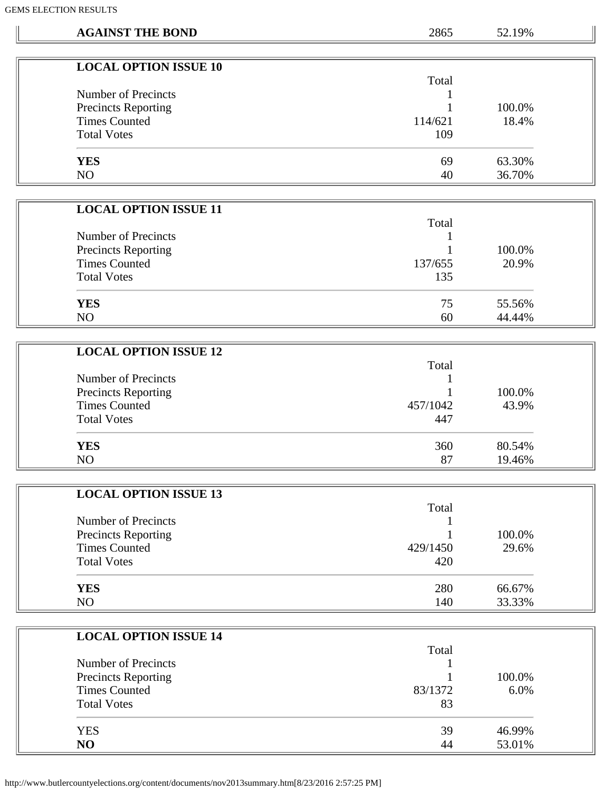| <b>YES</b><br>N <sub>O</sub> | <b>LOCAL OPTION ISSUE 10</b><br><b>Number of Precincts</b><br><b>Precincts Reporting</b><br><b>Times Counted</b><br><b>Total Votes</b><br><b>LOCAL OPTION ISSUE 11</b> | Total<br>1<br>114/621<br>109<br>69<br>40 | 100.0%<br>18.4%<br>63.30% |
|------------------------------|------------------------------------------------------------------------------------------------------------------------------------------------------------------------|------------------------------------------|---------------------------|
|                              |                                                                                                                                                                        |                                          |                           |
|                              |                                                                                                                                                                        |                                          |                           |
|                              |                                                                                                                                                                        |                                          |                           |
|                              |                                                                                                                                                                        |                                          |                           |
|                              |                                                                                                                                                                        |                                          |                           |
|                              |                                                                                                                                                                        |                                          |                           |
|                              |                                                                                                                                                                        |                                          |                           |
|                              |                                                                                                                                                                        |                                          | 36.70%                    |
|                              |                                                                                                                                                                        |                                          |                           |
|                              |                                                                                                                                                                        |                                          |                           |
|                              |                                                                                                                                                                        | Total                                    |                           |
|                              | <b>Number of Precincts</b>                                                                                                                                             |                                          |                           |
|                              | <b>Precincts Reporting</b>                                                                                                                                             |                                          | 100.0%                    |
|                              | <b>Times Counted</b>                                                                                                                                                   | 137/655                                  | 20.9%                     |
|                              | <b>Total Votes</b>                                                                                                                                                     | 135                                      |                           |
|                              |                                                                                                                                                                        |                                          |                           |
| <b>YES</b>                   |                                                                                                                                                                        | 75                                       | 55.56%                    |
| N <sub>O</sub>               |                                                                                                                                                                        | 60                                       | 44.44%                    |
|                              |                                                                                                                                                                        |                                          |                           |
|                              | <b>LOCAL OPTION ISSUE 12</b>                                                                                                                                           |                                          |                           |
|                              |                                                                                                                                                                        | Total                                    |                           |
|                              | Number of Precincts                                                                                                                                                    |                                          |                           |
|                              | <b>Precincts Reporting</b>                                                                                                                                             |                                          | 100.0%                    |
|                              | <b>Times Counted</b>                                                                                                                                                   | 457/1042                                 | 43.9%                     |
|                              | <b>Total Votes</b>                                                                                                                                                     | 447                                      |                           |
|                              |                                                                                                                                                                        |                                          |                           |
| <b>YES</b>                   |                                                                                                                                                                        | 360                                      | 80.54%                    |
| NO                           |                                                                                                                                                                        | 87                                       | 19.46%                    |
|                              |                                                                                                                                                                        |                                          |                           |
|                              | <b>LOCAL OPTION ISSUE 13</b>                                                                                                                                           | Total                                    |                           |
|                              | Number of Precincts                                                                                                                                                    |                                          |                           |
|                              | <b>Precincts Reporting</b>                                                                                                                                             |                                          | 100.0%                    |
|                              | <b>Times Counted</b>                                                                                                                                                   | 429/1450                                 | 29.6%                     |
|                              | <b>Total Votes</b>                                                                                                                                                     | 420                                      |                           |
|                              |                                                                                                                                                                        |                                          |                           |
| <b>YES</b>                   |                                                                                                                                                                        | 280                                      | 66.67%                    |
| NO                           |                                                                                                                                                                        | 140                                      | 33.33%                    |
|                              |                                                                                                                                                                        |                                          |                           |
|                              | <b>LOCAL OPTION ISSUE 14</b>                                                                                                                                           |                                          |                           |
|                              |                                                                                                                                                                        | Total                                    |                           |
|                              | Number of Precincts                                                                                                                                                    |                                          |                           |
|                              |                                                                                                                                                                        |                                          |                           |
|                              | <b>Precincts Reporting</b>                                                                                                                                             |                                          | 100.0%                    |
|                              | <b>Times Counted</b>                                                                                                                                                   | 83/1372                                  | 6.0%                      |
|                              | <b>Total Votes</b>                                                                                                                                                     | 83                                       |                           |
| <b>YES</b>                   |                                                                                                                                                                        | 39                                       | 46.99%                    |